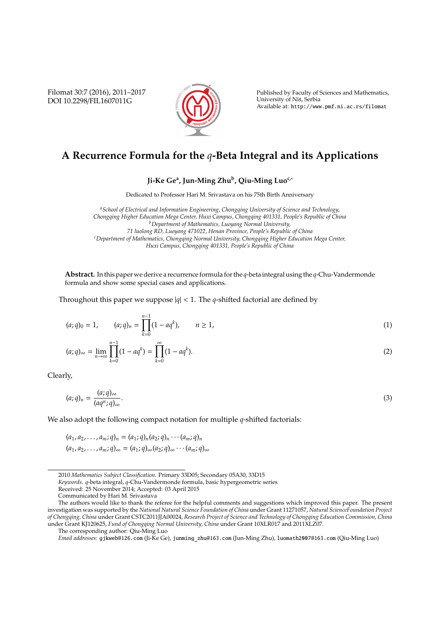Filomat 30:7 (2016), 2011–2017 DOI 10.2298/FIL1607011G



Published by Faculty of Sciences and Mathematics, University of Niš, Serbia Available at: http://www.pmf.ni.ac.rs/filomat

## **A Recurrence Formula for the** *q***-Beta Integral and its Applications**

## **Ji-Ke Ge<sup>a</sup> , Jun-Ming Zhu<sup>b</sup> , Qiu-Ming Luoc,**<sup>∗</sup>

Dedicated to Professor Hari M. Srivastava on his 75th Birth Anniversary

*<sup>a</sup>School of Electrical and Information Engineering, Chongqing University of Science and Technology, Chongqing Higher Education Mega Center, Huxi Campus, Chongqing 401331, People's Republic of China <sup>b</sup>Department of Mathematics, Luoyang Normal University, 71 luolong RD, Luoyang 471022, Henan Province, People's Republic of China <sup>c</sup>Department of Mathematics, Chongqing Normal University, Chongqing Higher Education Mega Center, Huxi Campus, Chongqing 401331, People's Republic of China*

**Abstract.** In this paper we derive a recurrence formula for the *q*-beta integral using the *q*-Chu-Vandermonde formula and show some special cases and applications.

Throughout this paper we suppose  $|q|$  < 1. The *q*-shifted factorial are defined by

$$
(a;q)_0 = 1, \qquad (a;q)_n = \prod_{k=0}^{n-1} (1 - aq^k), \qquad n \ge 1,
$$
 (1)

$$
(a;q)_{\infty} = \lim_{n \to \infty} \prod_{k=0}^{n-1} (1 - aq^k) = \prod_{k=0}^{\infty} (1 - aq^k).
$$
 (2)

Clearly,

$$
(a;q)_n = \frac{(a;q)_{\infty}}{(aq^n;q)_{\infty}}.\tag{3}
$$

We also adopt the following compact notation for multiple *q*-shifted factorials:

$$
(a_1, a_2, \dots, a_m; q)_n = (a_1; q)_n (a_2; q)_n \cdots (a_m; q)_n
$$
  

$$
(a_1, a_2, \dots, a_m; q)_{\infty} = (a_1; q)_{\infty} (a_2; q)_{\infty} \cdots (a_m; q)_{\infty}
$$

*Keywords*. *q*-beta integral, *q*-Chu-Vandermonde formula, basic hypergeometric series

<sup>2010</sup> *Mathematics Subject Classification*. Primary 33D05; Secondary 05A30, 33D15

Received: 25 November 2014; Accepted: 03 April 2015

Communicated by Hari M. Srivastava

The authors would like to thank the referee for the helpful comments and suggestions which improved this paper. The present investigation was supported by the *National Natural Science Foundation of China* under Grant 11271057, *Natural ScienceFoundation Project of Chongqing, China* under Grant CSTC2011JJA00024, *Research Project of Science and Technology of Chongqing Education Commission, China* under Grant KJ120625, *Fund of Chongqing Normal University, China* under Grant 10XLR017 and 2011XLZ07.

The corresponding author: Qiu-Ming Luo

*Email addresses:* gjkweb@126.com (Ji-Ke Ge), junming zhu@163.com (Jun-Ming Zhu), luomath2007@163.com (Qiu-Ming Luo)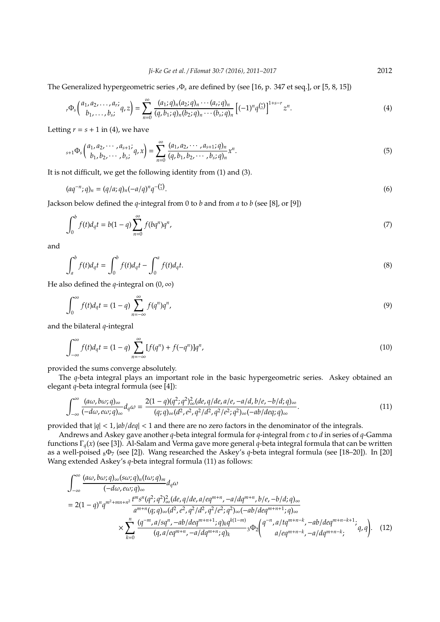The Generalized hypergeometric series *<sup>r</sup>*Φ*<sup>s</sup>* are defined by (see [16, p. 347 et seq.], or [5, 8, 15])

$$
{}_{r}\Phi_{s}\left(\begin{array}{c}a_{1},a_{2},\ldots,a_{r};\\b_{1},\ldots,b_{s};\end{array}q,z\right)=\sum_{n=0}^{\infty}\frac{(a_{1};q)_{n}(a_{2};q)_{n}\cdots(a_{r};q)_{n}}{(q,b_{1};q)_{n}(b_{2};q)_{n}\cdots(b_{s};q)_{n}}\left[(-1)^{n}q^{\binom{n}{2}}\right]^{1+s-r}z^{n}.
$$
\n(4)

Letting  $r = s + 1$  in (4), we have

$$
{}_{s+1}\Phi_s\left(\begin{matrix}a_1, a_2, \cdots, a_{s+1}, \\ b_1, b_2, \cdots, b_s\end{matrix}; q, x\right) = \sum_{n=0}^{\infty} \frac{(a_1, a_2, \cdots, a_{s+1}; q)_n}{(q, b_1, b_2, \cdots, b_s; q)_n} x^n.
$$
(5)

It is not difficult, we get the following identity from (1) and (3).

$$
(aq^{-n};q)_n = (q/a;q)_n(-a/q)^n q^{-\binom{n}{2}}.
$$
\n(6)

Jackson below defined the *q*-integral from 0 to *b* and from *a* to *b* (see [8], or [9])

$$
\int_0^b f(t)d_qt = b(1-q)\sum_{n=0}^\infty f(bq^n)q^n,
$$
\n(7)

and

$$
\int_{a}^{b} f(t)d_{q}t = \int_{0}^{b} f(t)d_{q}t - \int_{0}^{a} f(t)d_{q}t.
$$
\n(8)

He also defined the *q*-integral on  $(0, \infty)$ 

$$
\int_0^\infty f(t)d_qt = (1-q)\sum_{n=-\infty}^\infty f(q^n)q^n,\tag{9}
$$

and the bilateral *q*-integral

$$
\int_{-\infty}^{\infty} f(t)d_q t = (1-q) \sum_{n=-\infty}^{\infty} [f(q^n) + f(-q^n)]q^n,
$$
\n(10)

provided the sums converge absolutely.

The *q*-beta integral plays an important role in the basic hypergeometric series. Askey obtained an elegant *q*-beta integral formula (see [4]):

$$
\int_{-\infty}^{\infty} \frac{(a\omega, b\omega; q)_{\infty}}{(-d\omega, e\omega; q)_{\infty}} d_q \omega = \frac{2(1-q)(q^2; q^2)_{\infty}^2(de, q/de, a/e, -a/d, b/e, -b/d; q)_{\infty}}{(q; q)_{\infty}(d^2, e^2, q^2/d^2, q^2/e^2; q^2)_{\infty}(-ab/deq; q)_{\infty}}.
$$
\n(11)

provided that |*q*| < 1, |*ab*/*deq*| < 1 and there are no zero factors in the denominator of the integrals.

Andrews and Askey gave another *q*-beta integral formula for *q*-integral from *c* to *d* in series of *q*-Gamma functions Γ*q*(*x*) (see [3]). Al-Salam and Verma gave more general *q*-beta integral formula that can be written as a well-poised <sup>8</sup>Φ<sup>7</sup> (see [2]). Wang researched the Askey's *q*-beta integral formula (see [18–20]). In [20] Wang extended Askey's *q*-beta integral formula (11) as follows:

$$
\int_{-\infty}^{\infty} \frac{(a\omega, b\omega; q)_{\infty}(s\omega; q)_{n}(t\omega; q)_{m}}{(-d\omega, e\omega; q)_{\infty}} d_{q}\omega
$$
\n
$$
= 2(1-q)^{n}q^{m^{2}+mn+n^{2}} \frac{t^{m}s^{n}(q^{2}; q^{2})_{\infty}^{2}(de, q/de, a/eq^{m+n}, -a/dq^{m+n}, b/e, -b/d; q)_{\infty}}{a^{m+n}(q; q)_{\infty}(d^{2}, e^{2}, q^{2}/d^{2}, q^{2}/e^{2}; q^{2})_{\infty}(-ab/deq^{m+n+1}; q)_{\infty}}
$$
\n
$$
\times \sum_{k=0}^{n} \frac{(q^{-m}, a/sq^{n}, -ab/deq^{m+n+1}; q)_{k}q^{k(1-m)}}{(q, a/eq^{m+n}, -a/dq^{m+n}; q)_{k}} 3\Phi_{2}\left(\begin{matrix}q^{-n}, a/tq^{m+n-k}, -ab/deq^{m+n-k+1}; q, q\\ a/eq^{m+n-k}, -a/dq^{m+n-k}; q, q \end{matrix}\right).
$$
\n(12)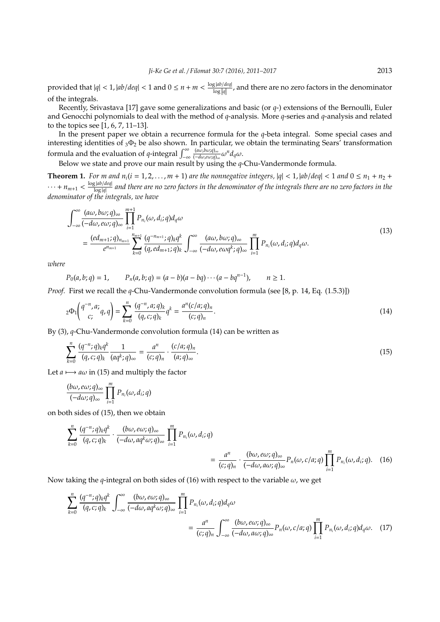provided that  $|q| < 1$ ,  $|ab/deq| < 1$  and  $0 \le n+m < \frac{\log |ab/deq|}{\log |q|}$ , and there are no zero factors in the denominator of the integrals.

Recently, Srivastava [17] gave some generalizations and basic (or *q*-) extensions of the Bernoulli, Euler and Genocchi polynomials to deal with the method of *q*-analysis. More *q*-series and *q*-analysis and related to the topics see [1, 6, 7, 11–13].

In the present paper we obtain a recurrence formula for the *q*-beta integral. Some special cases and interesting identities of  $_3\Phi_2$  be also shown. In particular, we obtain the terminating Sears' transformation formula and the evaluation of *q*-integral  $\int_{-\infty}^{\infty} \frac{(a\omega, b\omega; q)_{\infty}}{(-d\omega, e\omega; q)_{\infty}} \omega^n d_q \omega$ .

Below we state and prove our main result by using the *q*-Chu-Vandermonde formula.

**Theorem 1.** For m and  $n_i(i = 1, 2, ..., m + 1)$  are the nonnegative integers,  $|q| < 1$ ,  $|ab/deq| < 1$  and  $0 \le n_1 + n_2 +$  $\cdots + n_{m+1} < \frac{\log |ab/deg|}{\log |a|}$ log |*q*| *and there are no zero factors in the denominator of the integrals there are no zero factors in the denominator of the integrals, we have*

$$
\int_{-\infty}^{\infty} \frac{(a\omega, b\omega; q)_{\infty}}{(-d\omega, e\omega; q)_{\infty}} \prod_{i=1}^{m+1} P_{n_i}(\omega, d_i; q) d_q \omega
$$
\n
$$
= \frac{(ed_{m+1}; q)_{n_{m+1}}}{e^{n_{m+1}}} \sum_{k=0}^{n_{m+1}} \frac{(q^{-n_{m+1}}; q)_{k} q^{k}}{(q, ed_{m+1}; q)_{k}} \int_{-\infty}^{\infty} \frac{(a\omega, b\omega; q)_{\infty}}{(-d\omega, e\omega q^{k}; q)_{\infty}} \prod_{i=1}^{m} P_{n_i}(\omega, d_i; q) d_q \omega.
$$
\n(13)

*where*

 $P_0(a, b; q) = 1,$   $P_n(a, b; q) = (a - b)(a - bq) \cdots (a - bq^{n-1}),$  $n > 1$ .

*Proof.* First we recall the *q*-Chu-Vandermonde convolution formula (see [8, p. 14, Eq. (1.5.3)])

$$
{}_{2}\Phi_{1}\left(\begin{matrix}q^{-n},a;\\c;\\c;\end{matrix}q,q\right)=\sum_{k=0}^{n}\frac{(q^{-n},a;q)_{k}}{(q,c;q)_{k}}q^{k}=\frac{a^{n}(c/a;q)_{n}}{(c;q)_{n}}.
$$
\n(14)

By (3), *q*-Chu-Vandermonde convolution formula (14) can be written as

$$
\sum_{k=0}^{n} \frac{(q^{-n};q)_{k}q^{k}}{(q,c;q)_{k}} \frac{1}{(aq^{k};q)_{\infty}} = \frac{a^{n}}{(c;q)_{n}} \cdot \frac{(c/a;q)_{n}}{(a;q)_{\infty}}.
$$
\n
$$
(15)
$$

Let *a*  $\mapsto$  *a* $\omega$  in (15) and multiply the factor

$$
\frac{(b\omega,e\omega;q)_\infty}{(-d\omega;q)_\infty}\prod_{i=1}^m P_{n_i}(\omega,d_i;q)
$$

on both sides of (15), then we obtain

$$
\sum_{k=0}^{n} \frac{(q^{-n};q)_k q^k}{(q,c;q)_k} \cdot \frac{(b\omega,e\omega;q)_{\infty}}{(-d\omega,aq^k\omega;q)_{\infty}} \prod_{i=1}^{m} P_{n_i}(\omega,d_i;q)
$$
  

$$
= \frac{a^n}{(c;q)_n} \cdot \frac{(b\omega,e\omega;q)_{\infty}}{(-d\omega,a\omega;q)_{\infty}} P_n(\omega,c/a;q) \prod_{i=1}^{m} P_{n_i}(\omega,d_i;q). \quad (16)
$$

Now taking the *q*-integral on both sides of (16) with respect to the variable  $\omega$ , we get

$$
\sum_{k=0}^{n} \frac{(q^{-n};q)_k q^k}{(q,c;q)_k} \int_{-\infty}^{\infty} \frac{(b\omega,e\omega;q)_{\infty}}{(-d\omega,aq^k\omega;q)_{\infty}} \prod_{i=1}^{m} P_{n_i}(\omega,d_i;q) d_q\omega
$$

$$
= \frac{a^n}{(c;q)_n} \int_{-\infty}^{\infty} \frac{(b\omega,e\omega;q)_{\infty}}{(-d\omega,a\omega;q)_{\infty}} P_n(\omega,c/a;q) \prod_{i=1}^{m} P_{n_i}(\omega,d_i;q) d_q\omega. \quad (17)
$$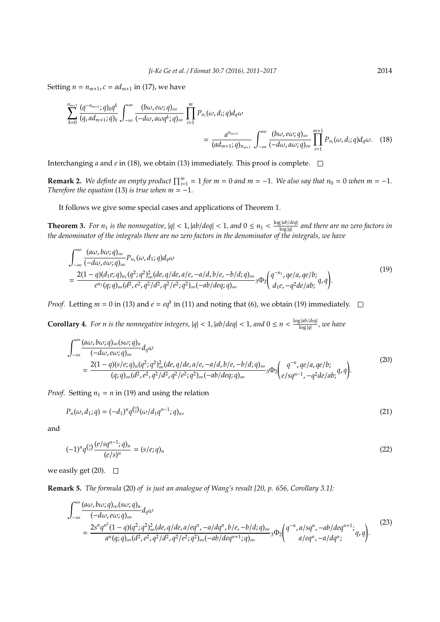Setting  $n = n_{m+1}$ ,  $c = ad_{m+1}$  in (17), we have

$$
\sum_{k=0}^{n_{m+1}} \frac{(q^{-n_{m+1}}; q)_k q^k}{(q, ad_{m+1}; q)_k} \int_{-\infty}^{\infty} \frac{(b\omega, e\omega; q)_{\infty}}{(-d\omega, a\omega q^k; q)_{\infty}} \prod_{i=1}^{m} P_{n_i}(\omega, d_i; q) d_q \omega
$$

$$
= \frac{a^{n_{m+1}}}{(ad_{m+1}; q)_{n_{m+1}}} \int_{-\infty}^{\infty} \frac{(b\omega, e\omega; q)_{\infty}}{(-d\omega, a\omega; q)_{\infty}} \prod_{i=1}^{m+1} P_{n_i}(\omega, d_i; q) d_q \omega. \quad (18)
$$

Interchanging *a* and *e* in (18), we obtain (13) immediately. This proof is complete.  $\Box$ 

**Remark 2.** We definte an empty product  $\prod_{i=1}^{m} = 1$  for  $m = 0$  and  $m = -1$ . We also say that  $n_0 = 0$  when  $m = -1$ . *Therefore the equation* (13) *is true when*  $m = -1$ *.* 

It follows we give some special cases and applications of Theorem 1.

**Theorem 3.** For  $n_1$  is the nonnegative,  $|q| < 1$ ,  $|ab/deq| < 1$ , and  $0 \le n_1 < \frac{\log |ab/deq|}{\log |a|}$ log |*q*| *and there are no zero factors in the denominator of the integrals there are no zero factors in the denominator of the integrals, we have*

$$
\int_{-\infty}^{\infty} \frac{(a\omega, b\omega; q)_{\infty}}{(-d\omega, e\omega; q)_{\infty}} P_{n_1}(\omega, d_1; q) d_q \omega
$$
\n
$$
= \frac{2(1-q)(d_1e; q)_{n_1}(q^2; q^2)_{\infty}^2(de, q/de, a/e, -a/d, b/e, -b/d; q)_{\infty}}{e^{n_1}(q; q)_{\infty}(d^2, e^2, q^2/d^2, q^2/e^2; q^2)_{\infty}(-ab/deq; q)_{\infty}} 3\Phi_2 \begin{pmatrix} q^{-n_1}, qe/a, qe/b; \\ d_1e, -q^2de/ab; \end{pmatrix} .
$$
\n(19)

*Proof.* Letting  $m = 0$  in (13) and  $e = eq^k$  in (11) and noting that (6), we obtain (19) immediately.

**Corollary 4.** *For n is the nonnegative integers,*  $|q| < 1$ ,  $|ab/deq| < 1$ , and  $0 \le n < \frac{\log |ab/deq|}{\log |a|}$ log |*q*| *, we have*

Z <sup>∞</sup> −∞ (*a*ω, *b*ω; *q*)∞(*s*ω; *q*)*<sup>n</sup>* (−*d*ω,*e*ω; *q*)<sup>∞</sup> *dq*ω = 2(1 − *q*)(*s*/*e*; *q*)*n*(*q* 2 ; *q* 2 ) 2 <sup>∞</sup>(*de*, *q*/*de*, *a*/*e*,−*a*/*d*, *b*/*e*,−*b*/*d*; *q*)<sup>∞</sup> (*q*; *q*)∞(*d* 2 ,*e* 2 , *q* <sup>2</sup>/*d* 2 , *q* <sup>2</sup>/*e* 2 ; *q* 2 )∞(−*ab*/*deq*; *q*)<sup>∞</sup> <sup>3</sup>Φ<sup>2</sup> *q* −*n* , *qe*/*a*, *qe*/*b*; *e*/*sqn*−<sup>1</sup> ,−*q* <sup>2</sup>*de*/*ab*; *q*, *q* ! . (20)

*Proof.* Setting  $n_1 = n$  in (19) and using the relation

$$
P_n(\omega, d_1; q) = (-d_1)^n q^{\binom{n}{2}} (\omega/d_1 q^{n-1}; q)_n,
$$
\n(21)

and

$$
(-1)^n q^{\binom{n}{2}} \frac{(e/sq^{n-1};q)_n}{(e/s)^n} = (s/e;q)_n \tag{22}
$$

we easily get (20).  $\Box$ 

**Remark 5.** *The formula* (20) *of is just an analogue of Wang's result [20, p. 656, Corollary 3.1]:*

$$
\int_{-\infty}^{\infty} \frac{(a\omega, b\omega; q)_{\infty}(s\omega; q)_{n}}{(-d\omega, e\omega; q)_{\infty}} d_{q}\omega
$$
\n
$$
= \frac{2s^{n}q^{n^{2}}(1-q)(q^{2}; q^{2})_{\infty}^{2}(de, q/de, a/eq^{n}, -a/dq^{n}, b/e, -b/d; q)_{\infty}}{a^{n}(q; q)_{\infty}(d^{2}, e^{2}, q^{2}/d^{2}, q^{2}/e^{2}; q^{2})_{\infty}(-ab/deq^{n+1}; q)_{\infty}} {}_{3}\Phi_{2}\left(\begin{matrix}q^{-n}, a/sq^{n}, -ab/deq^{n+1}, \\ a/eq^{n}, -a/dq^{n}, \\ a/eq^{n}, -a/dq^{n}, \end{matrix}\right).
$$
\n
$$
(23)
$$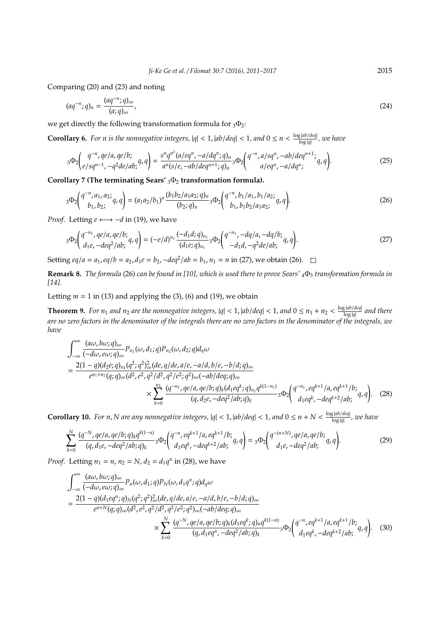Comparing (20) and (23) and noting

$$
(aq^{-n};q)_n = \frac{(aq^{-n};q)_\infty}{(a;q)_\infty},\tag{24}
$$

we get directly the following transformation formula for  $_3\Phi_2$ :

**Corollary 6.** For *n* is the nonnegative integers,  $|q| < 1$ ,  $|ab/deq| < 1$ , and  $0 \le n < \frac{\log |ab/deq|}{\log |a|}$ log |*q*| *, we have*

$$
{}_{3}\Phi_{2}\left(\begin{matrix}q^{-n},qe/a,qe/b;\\e/sq^{n-1},-q^{2}de/ab;end{matrix}\begin{matrix}q,q\end{matrix}\right)=\frac{s^{n}q^{n^{2}}(a/eq^{n},-a/dq^{n};q)_{n}}{a^{n}(s/e,-ab/deq^{n+1};q)_{n}}{}_{3}\Phi_{2}\left(\begin{matrix}q^{-n},a/sq^{n},-ab/deq^{n+1};\\a/eq^{n},-a/dq^{n};\end{matrix}\begin{matrix}q,q\end{matrix}\right).
$$
(25)

**Corollary 7 (The terminating Sears'** <sup>3</sup>Φ<sup>2</sup> **transformation formula).**

$$
{}_{3}\Phi_{2}\left(\begin{matrix}q^{-n},a_{1},a_{2};\\b_{1},b_{2};\end{matrix}q,q\right) = (a_{1}a_{2}/b_{1})^{n}\frac{(b_{1}b_{2}/a_{1}a_{2};q)_{n}}{(b_{2};q)_{n}} {}_{3}\Phi_{2}\left(\begin{matrix}q^{-n},b_{1}/a_{1},b_{1}/a_{2};\\b_{1},b_{1}b_{2}/a_{1}a_{2};\end{matrix}q,q\right).
$$
(26)

*Proof.* Letting *e* ←→ −*d* in (19), we have

$$
{}_{3}\Phi_{2}\left(\begin{matrix}q^{-n_{1}}, qe/a, qe/b; \\ d_{1}e, -deq^{2}/ab; \end{matrix}q, q\right) = (-e/d)^{n_{1}}\frac{(-d_{1}d;q)_{n_{1}}}{(d_{1}e;q)_{n_{1}}} {}_{3}\Phi_{2}\left(\begin{matrix}q^{-n_{1}}, -dq/a, -dq/b; \\ -d_{1}d, -q^{2}de/ab; \end{matrix}q, q\right).
$$
(27)

Setting *eq*/*a* = *a*<sub>1</sub>,*eq*/*b* = *a*<sub>2</sub>,*d*<sub>1</sub>*e* = *b*<sub>2</sub>, -*deq*<sup>2</sup>/*ab* = *b*<sub>1</sub>, *n*<sub>1</sub> = *n* in (27), we obtain (26).

**Remark 8.** *The formula* (26) *can be found in [10], which is used there to prove Sears'* <sup>4</sup>Φ<sup>3</sup> *transformation formula in [14].*

Letting  $m = 1$  in (13) and applying the (3), (6) and (19), we obtain

**Theorem 9.** For  $n_1$  and  $n_2$  are the nonnegative integers,  $|q| < 1$ ,  $|ab/deq| < 1$ , and  $0 \le n_1 + n_2 < \frac{\log |ab/deq|}{\log |a|}$ log |*q*| *and there are no zero factors in the denominator of the integrals there are no zero factors in the denominator of the integrals, we have*

$$
\int_{-\infty}^{\infty} \frac{(a\omega, b\omega; q)_{\infty}}{(-d\omega, e\omega; q)_{\infty}} P_{n_1}(\omega, d_1; q) P_{n_2}(\omega, d_2; q) d_q \omega
$$
\n
$$
= \frac{2(1-q)(d_2e; q)_{n_2}(q^2; q^2)^2_{\infty}(de, q/de, a/e, -a/d, b/e, -b/d; q)_{\infty}}{e^{n_1+n_2}(q; q)_{\infty}(d^2, e^2, q^2/d^2, q^2/e^2; q^2)_{\infty}(-ab/deq; q)_{\infty}}
$$
\n
$$
\times \sum_{k=0}^{n_2} \frac{(q^{-n_2}, qe/a, qe/b; q)_k (d_1eq^k; q)_{n_1} q^{k(1-n_1)}}{(q, d_2e, -deq^2/ab; q)_k} {}_3\Phi_2 \left(\begin{array}{c} q^{-n_1}, eq^{k+1}/a, eq^{k+1}/b; \\ d_1eq^k, -deq^{k+2}/ab; \end{array} q, q\right). \tag{28}
$$

**Corollary 10.** For n, N are any nonnegative integers,  $|q| < 1$ ,  $|ab/deq| < 1$ , and  $0 \le n + N < \frac{\log |ab/deq|}{\log |a|}$ log |*q*| *, we have*

$$
\sum_{k=0}^{N} \frac{(q^{-N}, qe/a, qe/b; q)_k q^{k(1-n)}}{(q, d_1e, -deq^2/ab; q)_k} {}_3\Phi_2 \left( \begin{matrix} q^{-n}, eq^{k+1}/a, eq^{k+1}/b; \\ d_1eq^k, -deq^{k+2}/ab; \end{matrix} q, q \right) = {}_3\Phi_2 \left( \begin{matrix} q^{-(n+N)}, qe/a, qe/b; \\ d_1e, -deq^2/ab; \end{matrix} q, q \right).
$$
 (29)

*Proof.* Letting  $n_1 = n$ ,  $n_2 = N$ ,  $d_2 = d_1 q^n$  in (28), we have

$$
\int_{-\infty}^{\infty} \frac{(a\omega, b\omega; q)_{\infty}}{(-d\omega, e\omega; q)_{\infty}} P_n(\omega, d_1; q) P_N(\omega, d_1 q^n; q) d_q \omega
$$
\n
$$
= \frac{2(1-q)(d_1eq^n; q)_{N}(q^2; q^2)^2_{\infty} (de, q/de, a/e, -a/d, b/e, -b/d; q)_{\infty}}{e^{n+N}(q; q)_{\infty} (d^2, e^2, q^2/d^2, q^2/e^2; q^2)_{\infty} (-ab/deq; q)_{\infty}}
$$
\n
$$
\times \sum_{k=0}^{N} \frac{(q^{-N}, qe/a, qe/b; q)_{k} (d_1eq^k; q)_{n} q^{k(1-n)}}{(q, d_1eq^n, -deq^2/ab; q)_{k}} 3\Phi_2 \left(\begin{array}{c} q^{-n}, eq^{k+1}/a, eq^{k+1}/b; \\ d_1eq^k, -deq^{k+2}/ab; \end{array} q, q\right). \tag{30}
$$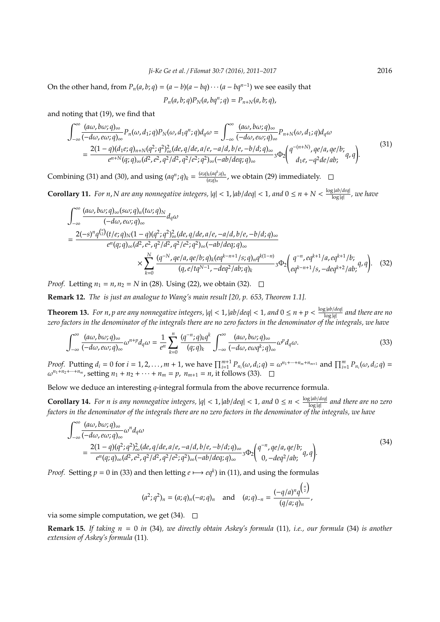On the other hand, from  $P_n(a, b; q) = (a - b)(a - bq) \cdots (a - bq^{n-1})$  we see easily that

$$
P_n(a,b;q)P_N(a,bq^n;q)=P_{n+N}(a,b;q),
$$

and noting that (19), we find that

$$
\int_{-\infty}^{\infty} \frac{(a\omega, b\omega; q)_{\infty}}{(-d\omega, e\omega; q)_{\infty}} P_n(\omega, d_1; q) P_N(\omega, d_1 q^n; q) d_q \omega = \int_{-\infty}^{\infty} \frac{(a\omega, b\omega; q)_{\infty}}{(-d\omega, e\omega; q)_{\infty}} P_{n+N}(\omega, d_1; q) d_q \omega
$$
  
= 
$$
\frac{2(1-q)(d_1e; q)_{n+N}(q^2; q^2)^2_{\infty}(de, q/de, a/e, -a/d, b/e, -b/d; q)_{\infty}}{e^{n+N}(q; q)_{\infty}(d^2, e^2, q^2/d^2, q^2/e^2; q^2)_{\infty}(-ab/deq; q)_{\infty}} 3\Phi_2 \begin{pmatrix} q^{-(n+N)}, qe/a, qe/b; \\ d_1e, -q^2de/ab; \end{pmatrix} .
$$
 (31)

Combining (31) and (30), and using  $(aq^n;q)_k = \frac{(a;q)_k(aq^k;q)_n}{(a;q)_n}$  $\frac{\partial K^{(4)}(H)}{\partial G(q)_n}$ , we obtain (29) immediately.

**Corollary 11.** For n, N are any nonnegative integers,  $|q| < 1$ ,  $|ab/deq| < 1$ , and  $0 \le n + N < \frac{\log |ab/deq|}{\log |a|}$ log |*q*| *, we have*

$$
\int_{-\infty}^{\infty} \frac{(a\omega, b\omega; q)_{\infty}(s\omega; q)_{n}(t\omega; q)_{N}}{(-d\omega, e\omega; q)_{\infty}} d_{q}\omega \n= \frac{2(-s)^{n}q^{n/2}(t/e; q)_{N}(1-q)(q^{2}; q^{2})_{\infty}^{2}(de, q/de, a/e, -a/d, b/e, -b/d; q)_{\infty}}{e^{n}(q; q)_{\infty}(d^{2}, e^{2}, q^{2}/d^{2}, q^{2}/e^{2}; q^{2})_{\infty}(-ab/deq; q)_{\infty}} \n\times \sum_{k=0}^{N} \frac{(q^{-N}, qe/a, qe/b; q)_{k}(eq^{k-n+1}/s; q)_{n}q^{k(1-n)}}{(q, e/tq^{N-1}, -deq^{2}/ab; q)_{k}} 3\Phi_{2} \left(\frac{q^{-n}, eq^{k+1}/a, eq^{k+1}/b; q, q^{2}}{eq^{k-n+1}/s, -deq^{k+2}/ab; q, q}\right).
$$
\n(32)

*Proof.* Letting  $n_1 = n$ ,  $n_2 = N$  in (28). Using (22), we obtain (32).  $\Box$ 

**Remark 12.** *The is just an analogue to Wang's main result [20, p. 653, Theorem 1.1].*

**Theorem 13.** For n, *p* are any nonnegative integers,  $|q| < 1$ ,  $|ab/deq| < 1$ , and  $0 \le n + p < \frac{\log |ab/deq|}{\log |a|}$ log |*q*| *and there are no zero factors in the denominator of the integrals there are no zero factors in the denominator of the integrals, we have*

$$
\int_{-\infty}^{\infty} \frac{(a\omega, b\omega; q)_{\infty}}{(-d\omega, e\omega; q)_{\infty}} \omega^{n+p} d_q \omega = \frac{1}{e^n} \sum_{k=0}^{n} \frac{(q^{-n}; q)_k q^k}{(q; q)_k} \int_{-\infty}^{\infty} \frac{(a\omega, b\omega; q)_{\infty}}{(-d\omega, e\omega q^k; q)_{\infty}} \omega^p d_q \omega.
$$
 (33)

*Proof.* Putting  $d_i = 0$  for  $i = 1, 2, ..., m + 1$ , we have  $\prod_{i=1}^{m+1} P_{n_i}(\omega, d_i; q) = \omega^{n_1 + ... + n_m + n_{m+1}}$  and  $\prod_{i=1}^{m} P_{n_i}(\omega, d_i; q) =$  $\omega^{n_1+n_2+\cdots+n_m}$ , setting  $n_1 + n_2 + \cdots + n_m = p$ ,  $n_{m+1} = n$ , it follows (33).

Below we deduce an interesting *q*-integral formula from the above recurrence formula.

**Corollary 14.** For *n* is any nonnegative integers,  $|q| < 1$ ,  $|ab/deq| < 1$ , and  $0 \le n < \frac{\log |ab/deq|}{\log |a|}$ log |*q*| *and there are no zero factors in the denominator of the integrals there are no zero factors in the denominator of the integrals, we have*

$$
\int_{-\infty}^{\infty} \frac{(a\omega, b\omega; q)_{\infty}}{(-d\omega, e\omega; q)_{\infty}} \omega^{n} d_{q}\omega
$$
\n
$$
= \frac{2(1-q)(q^{2}; q^{2})_{\infty}^{2}(de, q/de, a/e, -a/d, b/e, -b/d; q)_{\infty}}{e^{n}(q; q)_{\infty}(d^{2}, e^{2}, q^{2}/d^{2}, q^{2}/e^{2}; q^{2})_{\infty}(-ab/deg; q)_{\infty}} 3\Phi_{2}\left(\begin{array}{c}q^{-n}, qe/a, qe/b;\\0, -deq^{2}/ab;\end{array} q,q\right).
$$
\n(34)

*Proof.* Setting  $p = 0$  in (33) and then letting  $e \mapsto eq^k$ ) in (11), and using the formulas

$$
(a^{2}; q^{2})_{n} = (a; q)_{n}(-a; q)_{n} \text{ and } (a; q)_{-n} = \frac{(-q/a)^{n}q^{\binom{n}{2}}}{(q/a; q)_{n}},
$$

via some simple computation, we get  $(34)$ .  $\Box$ 

**Remark 15.** *If taking n* = 0 *in* (34)*, we directly obtain Askey's formula* (11)*, i.e., our formula* (34) *is another extension of Askey's formula* (11)*.*